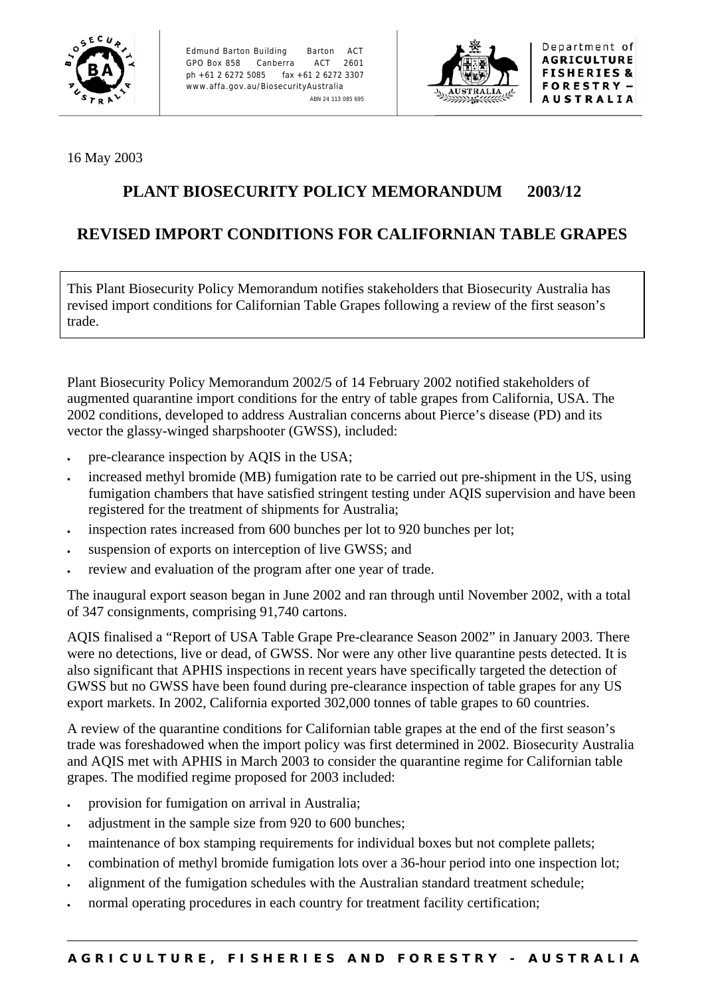

Edmund Barton Building Barton ACT GPO Box 858 Canberra ACT 2601 ph +61 2 6272 5085 fax +61 2 6272 3307 www.affa.gov.au/BiosecurityAustralia ABN 24 113 085 695



## 16 May 2003

## **PLANT BIOSECURITY POLICY MEMORANDUM 2003/12**

## **REVISED IMPORT CONDITIONS FOR CALIFORNIAN TABLE GRAPES**

This Plant Biosecurity Policy Memorandum notifies stakeholders that Biosecurity Australia has revised import conditions for Californian Table Grapes following a review of the first season's trade.

Plant Biosecurity Policy Memorandum 2002/5 of 14 February 2002 notified stakeholders of augmented quarantine import conditions for the entry of table grapes from California, USA. The 2002 conditions, developed to address Australian concerns about Pierce's disease (PD) and its vector the glassy-winged sharpshooter (GWSS), included:

- pre-clearance inspection by AQIS in the USA;
- increased methyl bromide (MB) fumigation rate to be carried out pre-shipment in the US, using fumigation chambers that have satisfied stringent testing under AQIS supervision and have been registered for the treatment of shipments for Australia;
- inspection rates increased from 600 bunches per lot to 920 bunches per lot;
- suspension of exports on interception of live GWSS; and
- review and evaluation of the program after one year of trade.

The inaugural export season began in June 2002 and ran through until November 2002, with a total of 347 consignments, comprising 91,740 cartons.

AQIS finalised a "Report of USA Table Grape Pre-clearance Season 2002" in January 2003. There were no detections, live or dead, of GWSS. Nor were any other live quarantine pests detected. It is also significant that APHIS inspections in recent years have specifically targeted the detection of GWSS but no GWSS have been found during pre-clearance inspection of table grapes for any US export markets. In 2002, California exported 302,000 tonnes of table grapes to 60 countries.

A review of the quarantine conditions for Californian table grapes at the end of the first season's trade was foreshadowed when the import policy was first determined in 2002. Biosecurity Australia and AQIS met with APHIS in March 2003 to consider the quarantine regime for Californian table grapes. The modified regime proposed for 2003 included:

- provision for fumigation on arrival in Australia;
- adjustment in the sample size from 920 to 600 bunches;
- maintenance of box stamping requirements for individual boxes but not complete pallets;
- combination of methyl bromide fumigation lots over a 36-hour period into one inspection lot;
- alignment of the fumigation schedules with the Australian standard treatment schedule;
- normal operating procedures in each country for treatment facility certification;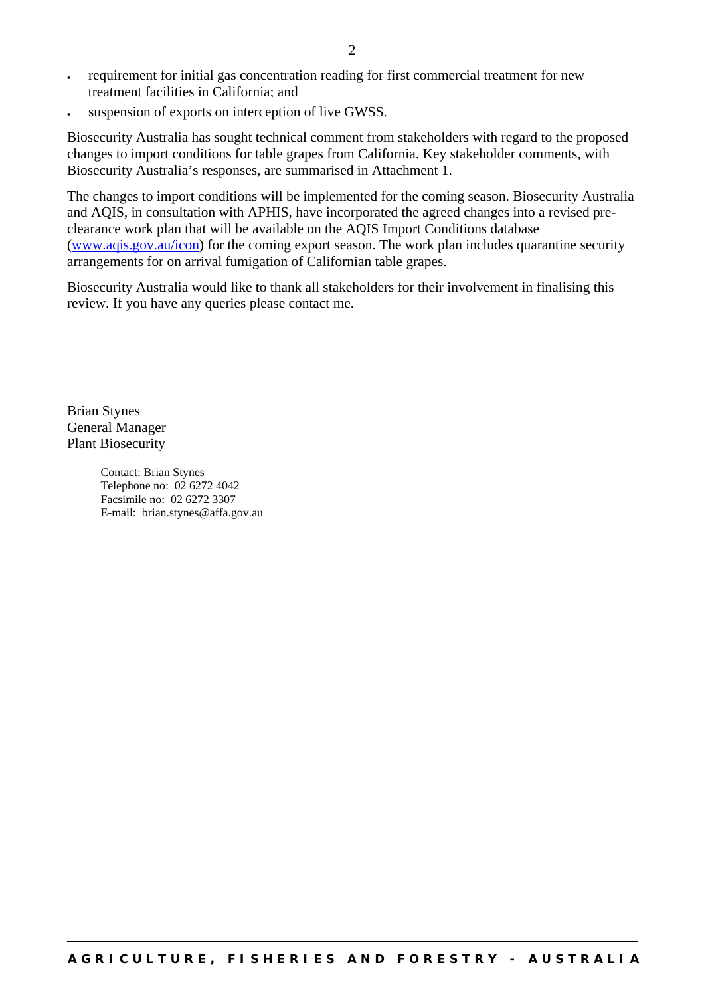- requirement for initial gas concentration reading for first commercial treatment for new treatment facilities in California; and
- suspension of exports on interception of live GWSS.

Biosecurity Australia has sought technical comment from stakeholders with regard to the proposed changes to import conditions for table grapes from California. Key stakeholder comments, with Biosecurity Australia's responses, are summarised in Attachment 1.

The changes to import conditions will be implemented for the coming season. Biosecurity Australia and AQIS, in consultation with APHIS, have incorporated the agreed changes into a revised preclearance work plan that will be available on the AQIS Import Conditions database (www.aqis.gov.au/icon) for the coming export season. The work plan includes quarantine security arrangements for on arrival fumigation of Californian table grapes.

Biosecurity Australia would like to thank all stakeholders for their involvement in finalising this review. If you have any queries please contact me.

Brian Stynes General Manager Plant Biosecurity

> Contact: Brian Stynes Telephone no: 02 6272 4042 Facsimile no: 02 6272 3307 E-mail: brian.stynes@affa.gov.au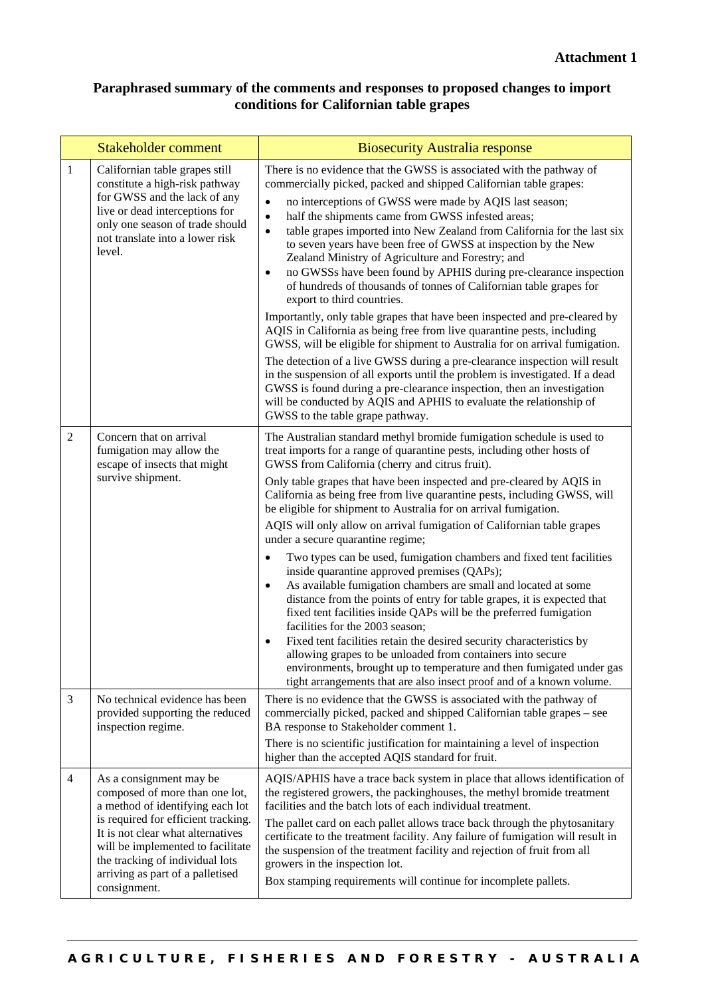## **Paraphrased summary of the comments and responses to proposed changes to import conditions for Californian table grapes**

|              | Stakeholder comment                                                                                                                                                                                                                                                                                   | <b>Biosecurity Australia response</b>                                                                                                                                                                                                                                                                                                                                                                                                                                                                                                                                                                                                                                                                                                                                                                                                                                                                                                                                                                                                                                                                                                                                                                                                                                               |
|--------------|-------------------------------------------------------------------------------------------------------------------------------------------------------------------------------------------------------------------------------------------------------------------------------------------------------|-------------------------------------------------------------------------------------------------------------------------------------------------------------------------------------------------------------------------------------------------------------------------------------------------------------------------------------------------------------------------------------------------------------------------------------------------------------------------------------------------------------------------------------------------------------------------------------------------------------------------------------------------------------------------------------------------------------------------------------------------------------------------------------------------------------------------------------------------------------------------------------------------------------------------------------------------------------------------------------------------------------------------------------------------------------------------------------------------------------------------------------------------------------------------------------------------------------------------------------------------------------------------------------|
| $\mathbf{1}$ | Californian table grapes still<br>constitute a high-risk pathway<br>for GWSS and the lack of any<br>live or dead interceptions for<br>only one season of trade should<br>not translate into a lower risk<br>level.                                                                                    | There is no evidence that the GWSS is associated with the pathway of<br>commercially picked, packed and shipped Californian table grapes:<br>no interceptions of GWSS were made by AQIS last season;<br>$\bullet$<br>half the shipments came from GWSS infested areas;<br>$\bullet$<br>table grapes imported into New Zealand from California for the last six<br>$\bullet$<br>to seven years have been free of GWSS at inspection by the New<br>Zealand Ministry of Agriculture and Forestry; and<br>no GWSSs have been found by APHIS during pre-clearance inspection<br>$\bullet$<br>of hundreds of thousands of tonnes of Californian table grapes for<br>export to third countries.<br>Importantly, only table grapes that have been inspected and pre-cleared by<br>AQIS in California as being free from live quarantine pests, including<br>GWSS, will be eligible for shipment to Australia for on arrival fumigation.<br>The detection of a live GWSS during a pre-clearance inspection will result<br>in the suspension of all exports until the problem is investigated. If a dead<br>GWSS is found during a pre-clearance inspection, then an investigation<br>will be conducted by AQIS and APHIS to evaluate the relationship of<br>GWSS to the table grape pathway. |
| 2            | Concern that on arrival<br>fumigation may allow the<br>escape of insects that might<br>survive shipment.                                                                                                                                                                                              | The Australian standard methyl bromide fumigation schedule is used to<br>treat imports for a range of quarantine pests, including other hosts of<br>GWSS from California (cherry and citrus fruit).<br>Only table grapes that have been inspected and pre-cleared by AQIS in<br>California as being free from live quarantine pests, including GWSS, will<br>be eligible for shipment to Australia for on arrival fumigation.<br>AQIS will only allow on arrival fumigation of Californian table grapes<br>under a secure quarantine regime;<br>Two types can be used, fumigation chambers and fixed tent facilities<br>inside quarantine approved premises (QAPs);<br>As available fumigation chambers are small and located at some<br>$\bullet$<br>distance from the points of entry for table grapes, it is expected that<br>fixed tent facilities inside QAPs will be the preferred fumigation<br>facilities for the 2003 season;<br>Fixed tent facilities retain the desired security characteristics by<br>٠<br>allowing grapes to be unloaded from containers into secure<br>environments, brought up to temperature and then fumigated under gas<br>tight arrangements that are also insect proof and of a known volume.                                                   |
| 3            | No technical evidence has been<br>provided supporting the reduced<br>inspection regime.                                                                                                                                                                                                               | There is no evidence that the GWSS is associated with the pathway of<br>commercially picked, packed and shipped Californian table grapes – see<br>BA response to Stakeholder comment 1.<br>There is no scientific justification for maintaining a level of inspection<br>higher than the accepted AQIS standard for fruit.                                                                                                                                                                                                                                                                                                                                                                                                                                                                                                                                                                                                                                                                                                                                                                                                                                                                                                                                                          |
| 4            | As a consignment may be<br>composed of more than one lot,<br>a method of identifying each lot<br>is required for efficient tracking.<br>It is not clear what alternatives<br>will be implemented to facilitate<br>the tracking of individual lots<br>arriving as part of a palletised<br>consignment. | AQIS/APHIS have a trace back system in place that allows identification of<br>the registered growers, the packinghouses, the methyl bromide treatment<br>facilities and the batch lots of each individual treatment.<br>The pallet card on each pallet allows trace back through the phytosanitary<br>certificate to the treatment facility. Any failure of fumigation will result in<br>the suspension of the treatment facility and rejection of fruit from all<br>growers in the inspection lot.<br>Box stamping requirements will continue for incomplete pallets.                                                                                                                                                                                                                                                                                                                                                                                                                                                                                                                                                                                                                                                                                                              |